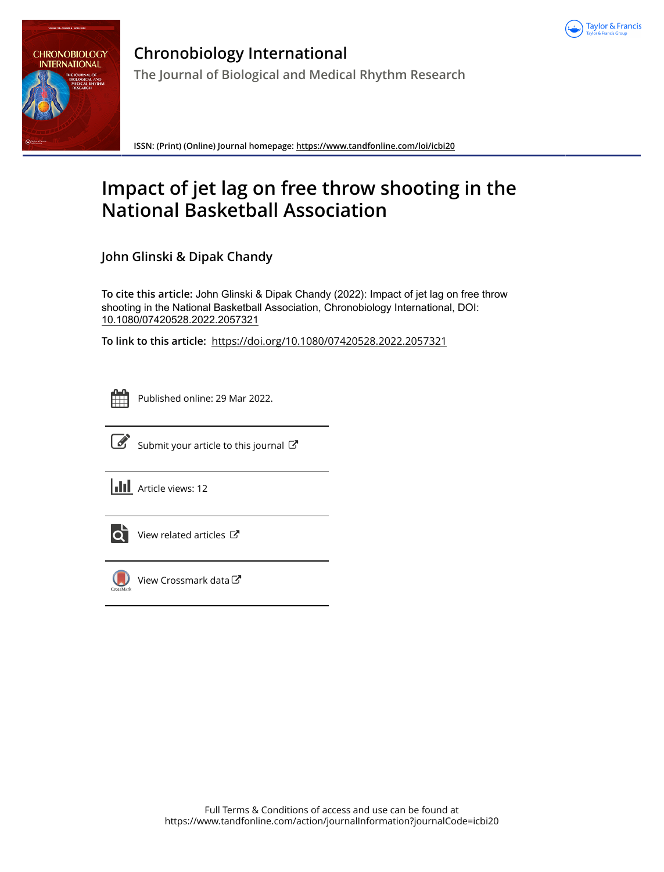



**Chronobiology International The Journal of Biological and Medical Rhythm Research**

**ISSN: (Print) (Online) Journal homepage:<https://www.tandfonline.com/loi/icbi20>**

# **Impact of jet lag on free throw shooting in the National Basketball Association**

**John Glinski & Dipak Chandy**

**To cite this article:** John Glinski & Dipak Chandy (2022): Impact of jet lag on free throw shooting in the National Basketball Association, Chronobiology International, DOI: [10.1080/07420528.2022.2057321](https://www.tandfonline.com/action/showCitFormats?doi=10.1080/07420528.2022.2057321)

**To link to this article:** <https://doi.org/10.1080/07420528.2022.2057321>



Published online: 29 Mar 2022.



 $\overrightarrow{S}$  [Submit your article to this journal](https://www.tandfonline.com/action/authorSubmission?journalCode=icbi20&show=instructions)  $\overrightarrow{S}$ 

**III** Article views: 12



[View related articles](https://www.tandfonline.com/doi/mlt/10.1080/07420528.2022.2057321)  $\mathbb{Z}$ 



[View Crossmark data](http://crossmark.crossref.org/dialog/?doi=10.1080/07420528.2022.2057321&domain=pdf&date_stamp=2022-03-29)<sup>で</sup>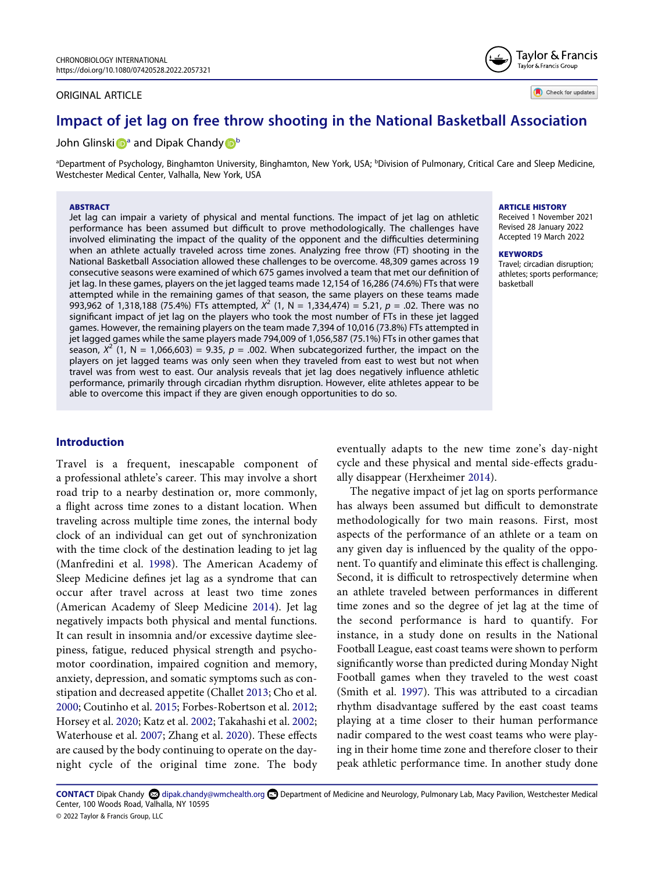#### ORIGINAL ARTICLE

Check for updates

Taylor & Francis Taylor & Francis Group

# **Impact of jet lag on free throw shooting in the National Basketball Association**

#### John Gl[i](http://orcid.org/0000-0003-4339-433X)nski **D**<sup>a</sup> and Dipak Chand[y](http://orcid.org/0000-0002-9133-3438) **D**<sup>[b](#page-1-0)</sup>

<span id="page-1-0"></span><sup>a</sup>Department of Psychology, Binghamton University, Binghamton, New York, USA; <sup>b</sup>Division of Pulmonary, Critical Care and Sleep Medicine, Westchester Medical Center, Valhalla, New York, USA

#### **ABSTRACT**

Jet lag can impair a variety of physical and mental functions. The impact of jet lag on athletic performance has been assumed but difficult to prove methodologically. The challenges have involved eliminating the impact of the quality of the opponent and the difficulties determining when an athlete actually traveled across time zones. Analyzing free throw (FT) shooting in the National Basketball Association allowed these challenges to be overcome. 48,309 games across 19 consecutive seasons were examined of which 675 games involved a team that met our definition of jet lag. In these games, players on the jet lagged teams made 12,154 of 16,286 (74.6%) FTs that were attempted while in the remaining games of that season, the same players on these teams made 993,962 of 1,318,188 (75.4%) FTs attempted, *X*2 (1, N = 1,334,474) = 5.21, *p* = .02. There was no significant impact of jet lag on the players who took the most number of FTs in these jet lagged games. However, the remaining players on the team made 7,394 of 10,016 (73.8%) FTs attempted in jet lagged games while the same players made 794,009 of 1,056,587 (75.1%) FTs in other games that season,  $X^2$  (1, N = 1,066,603) = 9.35,  $p = .002$ . When subcategorized further, the impact on the players on jet lagged teams was only seen when they traveled from east to west but not when travel was from west to east. Our analysis reveals that jet lag does negatively influence athletic performance, primarily through circadian rhythm disruption. However, elite athletes appear to be able to overcome this impact if they are given enough opportunities to do so.

#### **Introduction**

<span id="page-1-6"></span><span id="page-1-1"></span>Travel is a frequent, inescapable component of a professional athlete's career. This may involve a short road trip to a nearby destination or, more commonly, a flight across time zones to a distant location. When traveling across multiple time zones, the internal body clock of an individual can get out of synchronization with the time clock of the destination leading to jet lag (Manfredini et al. [1998](#page-5-0)). The American Academy of Sleep Medicine defines jet lag as a syndrome that can occur after travel across at least two time zones (American Academy of Sleep Medicine [2014\)](#page-4-0). Jet lag negatively impacts both physical and mental functions. It can result in insomnia and/or excessive daytime sleepiness, fatigue, reduced physical strength and psychomotor coordination, impaired cognition and memory, anxiety, depression, and somatic symptoms such as constipation and decreased appetite (Challet [2013;](#page-4-1) Cho et al. [2000](#page-4-2); Coutinho et al. [2015;](#page-4-3) Forbes-Robertson et al. [2012;](#page-4-4) Horsey et al. [2020;](#page-4-5) Katz et al. [2002](#page-4-6); Takahashi et al. [2002;](#page-5-1) Waterhouse et al. [2007;](#page-5-2) Zhang et al. [2020](#page-5-3)). These effects are caused by the body continuing to operate on the daynight cycle of the original time zone. The body

**ARTICLE HISTORY** 

Received 1 November 2021 Revised 28 January 2022 Accepted 19 March 2022

#### **KEYWORDS**

Travel; circadian disruption; athletes; sports performance; basketball

eventually adapts to the new time zone's day-night cycle and these physical and mental side-effects gradually disappear (Herxheimer [2014](#page-4-7)).

<span id="page-1-7"></span><span id="page-1-4"></span>The negative impact of jet lag on sports performance has always been assumed but difficult to demonstrate methodologically for two main reasons. First, most aspects of the performance of an athlete or a team on any given day is influenced by the quality of the opponent. To quantify and eliminate this effect is challenging. Second, it is difficult to retrospectively determine when an athlete traveled between performances in different time zones and so the degree of jet lag at the time of the second performance is hard to quantify. For instance, in a study done on results in the National Football League, east coast teams were shown to perform significantly worse than predicted during Monday Night Football games when they traveled to the west coast (Smith et al. [1997](#page-5-4)). This was attributed to a circadian rhythm disadvantage suffered by the east coast teams playing at a time closer to their human performance nadir compared to the west coast teams who were playing in their home time zone and therefore closer to their peak athletic performance time. In another study done

<span id="page-1-8"></span><span id="page-1-5"></span><span id="page-1-3"></span><span id="page-1-2"></span>CONTACT Dipak Chandy **۞** dipak.chandy@wmchealth.org **■** Department of Medicine and Neurology, Pulmonary Lab, Macy Pavilion, Westchester Medical Center, 100 Woods Road, Valhalla, NY 10595 © 2022 Taylor & Francis Group, LLC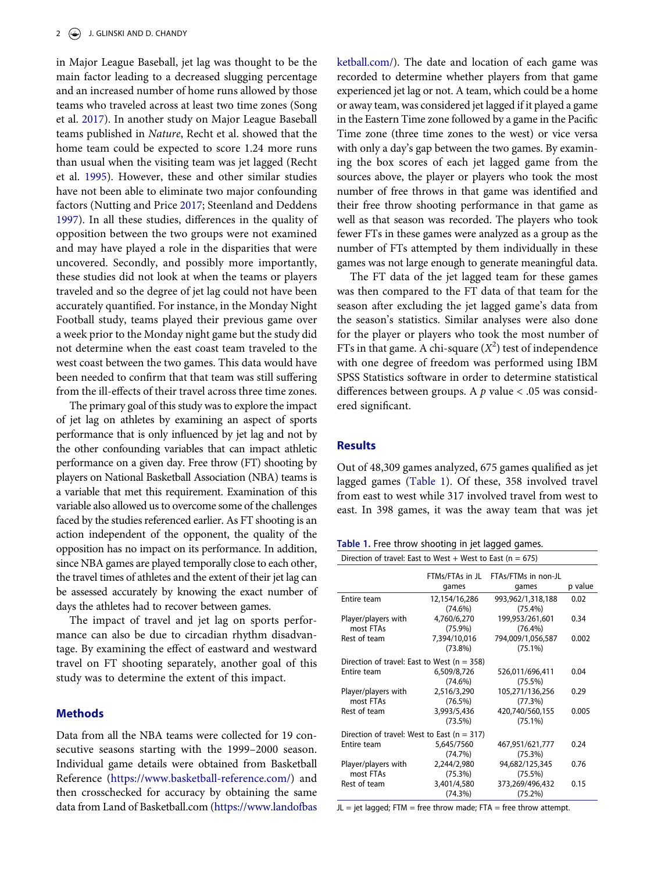<span id="page-2-3"></span><span id="page-2-2"></span><span id="page-2-1"></span>in Major League Baseball, jet lag was thought to be the main factor leading to a decreased slugging percentage and an increased number of home runs allowed by those teams who traveled across at least two time zones (Song et al. [2017\)](#page-5-5). In another study on Major League Baseball teams published in *Nature*, Recht et al. showed that the home team could be expected to score 1.24 more runs than usual when the visiting team was jet lagged (Recht et al. [1995](#page-5-6)). However, these and other similar studies have not been able to eliminate two major confounding factors (Nutting and Price [2017;](#page-5-7) Steenland and Deddens [1997](#page-5-8)). In all these studies, differences in the quality of opposition between the two groups were not examined and may have played a role in the disparities that were uncovered. Secondly, and possibly more importantly, these studies did not look at when the teams or players traveled and so the degree of jet lag could not have been accurately quantified. For instance, in the Monday Night Football study, teams played their previous game over a week prior to the Monday night game but the study did not determine when the east coast team traveled to the west coast between the two games. This data would have been needed to confirm that that team was still suffering from the ill-effects of their travel across three time zones.

The primary goal of this study was to explore the impact of jet lag on athletes by examining an aspect of sports performance that is only influenced by jet lag and not by the other confounding variables that can impact athletic performance on a given day. Free throw (FT) shooting by players on National Basketball Association (NBA) teams is a variable that met this requirement. Examination of this variable also allowed us to overcome some of the challenges faced by the studies referenced earlier. As FT shooting is an action independent of the opponent, the quality of the opposition has no impact on its performance. In addition, since NBA games are played temporally close to each other, the travel times of athletes and the extent of their jet lag can be assessed accurately by knowing the exact number of days the athletes had to recover between games.

The impact of travel and jet lag on sports performance can also be due to circadian rhythm disadvantage. By examining the effect of eastward and westward travel on FT shooting separately, another goal of this study was to determine the extent of this impact.

#### **Methods**

Data from all the NBA teams were collected for 19 consecutive seasons starting with the 1999–2000 season. Individual game details were obtained from Basketball Reference ([https://www.basketball-reference.com/\)](https://www.basketball-reference.com/) and then crosschecked for accuracy by obtaining the same data from Land of Basketball.com ([https://www.landofbas](https://www.landofbasketball.com/)  [ketball.com/](https://www.landofbasketball.com/)). The date and location of each game was recorded to determine whether players from that game experienced jet lag or not. A team, which could be a home or away team, was considered jet lagged if it played a game in the Eastern Time zone followed by a game in the Pacific Time zone (three time zones to the west) or vice versa with only a day's gap between the two games. By examining the box scores of each jet lagged game from the sources above, the player or players who took the most number of free throws in that game was identified and their free throw shooting performance in that game as well as that season was recorded. The players who took fewer FTs in these games were analyzed as a group as the number of FTs attempted by them individually in these games was not large enough to generate meaningful data.

The FT data of the jet lagged team for these games was then compared to the FT data of that team for the season after excluding the jet lagged game's data from the season's statistics. Similar analyses were also done for the player or players who took the most number of FTs in that game. A chi-square  $(X^2)$  test of independence with one degree of freedom was performed using IBM SPSS Statistics software in order to determine statistical differences between groups. A *p* value < .05 was considered significant.

#### **Results**

Out of 48,309 games analyzed, 675 games qualified as jet lagged games ([Table 1\)](#page-2-0). Of these, 358 involved travel from east to west while 317 involved travel from west to east. In 398 games, it was the away team that was jet

<span id="page-2-0"></span>**Table 1.** Free throw shooting in jet lagged games.

| Direction of travel: East to West + West to East ( $n = 675$ ) |                             |                                 |         |
|----------------------------------------------------------------|-----------------------------|---------------------------------|---------|
|                                                                | FTMs/FTAs in JL<br>games    | FTAs/FTMs in non-JL<br>games    | p value |
| Entire team                                                    | 12,154/16,286<br>$(74.6\%)$ | 993,962/1,318,188<br>$(75.4\%)$ | 0.02    |
| Player/players with<br>most FTAs                               | 4,760/6,270<br>$(75.9\%)$   | 199,953/261,601<br>$(76.4\%)$   | 0.34    |
| Rest of team                                                   | 7,394/10,016<br>$(73.8\%)$  | 794,009/1,056,587<br>$(75.1\%)$ | 0.002   |
| Direction of travel: East to West ( $n = 358$ )                |                             |                                 |         |
| Entire team                                                    | 6,509/8,726<br>(74.6%)      | 526,011/696,411<br>(75.5%)      | 0.04    |
| Player/players with<br>most FTAs                               | 2,516/3,290<br>(76.5%)      | 105,271/136,256<br>(77.3%)      | 0.29    |
| Rest of team                                                   | 3,993/5,436<br>(73.5%)      | 420,740/560,155<br>$(75.1\%)$   | 0.005   |
| Direction of travel: West to East ( $n = 317$ )                |                             |                                 |         |
| Entire team                                                    | 5,645/7560<br>(74.7%)       | 467,951/621,777<br>(75.3%)      | 0.24    |
| Player/players with<br>most FTAs                               | 2,244/2,980<br>(75.3%)      | 94,682/125,345<br>(75.5%)       | 0.76    |
| Rest of team                                                   | 3,401/4,580<br>(74.3%)      | 373,269/496,432<br>(75.2%)      | 0.15    |

 $JL = jet$  lagged; FTM = free throw made; FTA = free throw attempt.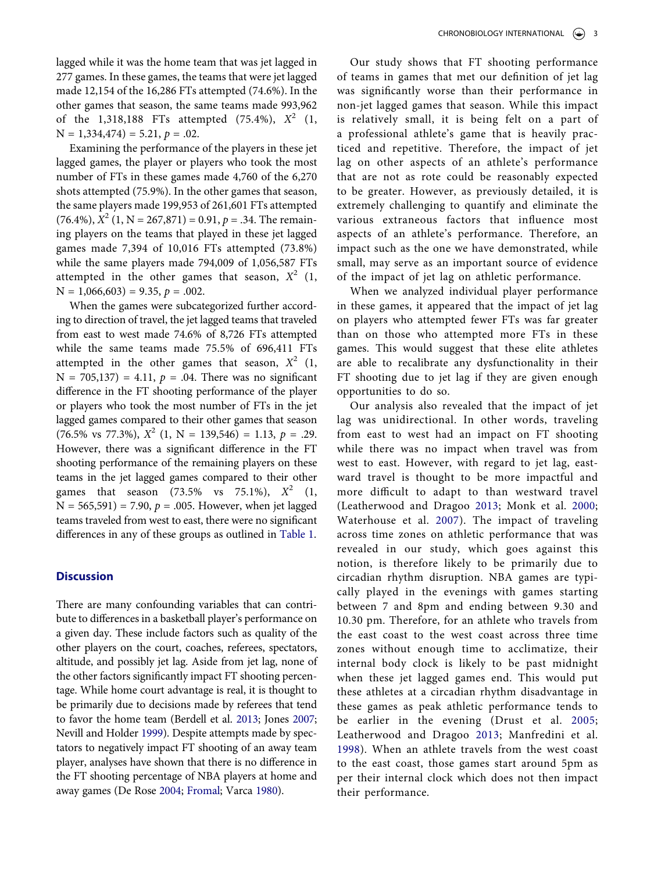lagged while it was the home team that was jet lagged in 277 games. In these games, the teams that were jet lagged made 12,154 of the 16,286 FTs attempted (74.6%). In the other games that season, the same teams made 993,962 of the 1,318,188 FTs attempted (75.4%), *X*2 (1,  $N = 1,334,474 = 5.21, p = .02.$ 

Examining the performance of the players in these jet lagged games, the player or players who took the most number of FTs in these games made 4,760 of the 6,270 shots attempted (75.9%). In the other games that season, the same players made 199,953 of 261,601 FTs attempted  $(76.4\%), X^2(1, N = 267,871) = 0.91, p = .34.$  The remaining players on the teams that played in these jet lagged games made 7,394 of 10,016 FTs attempted (73.8%) while the same players made 794,009 of 1,056,587 FTs attempted in the other games that season,  $X^2$  (1,  $N = 1,066,603$  = 9.35,  $p = .002$ .

When the games were subcategorized further according to direction of travel, the jet lagged teams that traveled from east to west made 74.6% of 8,726 FTs attempted while the same teams made 75.5% of 696,411 FTs attempted in the other games that season,  $X^2$  (1,  $N = 705,137$  = 4.11,  $p = .04$ . There was no significant difference in the FT shooting performance of the player or players who took the most number of FTs in the jet lagged games compared to their other games that season  $(76.5\% \text{ vs } 77.3\%), X^2 (1, N = 139.546) = 1.13, p = .29.$ However, there was a significant difference in the FT shooting performance of the remaining players on these teams in the jet lagged games compared to their other games that season  $(73.5\% \text{ vs } 75.1\%), X^2 (1,$  $N = 565,591$ ) = 7.90,  $p = .005$ . However, when jet lagged teams traveled from west to east, there were no significant differences in any of these groups as outlined in [Table 1.](#page-2-0)

#### **Discussion**

<span id="page-3-5"></span><span id="page-3-3"></span><span id="page-3-2"></span><span id="page-3-1"></span><span id="page-3-0"></span>There are many confounding variables that can contribute to differences in a basketball player's performance on a given day. These include factors such as quality of the other players on the court, coaches, referees, spectators, altitude, and possibly jet lag. Aside from jet lag, none of the other factors significantly impact FT shooting percentage. While home court advantage is real, it is thought to be primarily due to decisions made by referees that tend to favor the home team (Berdell et al. [2013](#page-4-8); Jones [2007;](#page-4-9) Nevill and Holder [1999\)](#page-5-9). Despite attempts made by spectators to negatively impact FT shooting of an away team player, analyses have shown that there is no difference in the FT shooting percentage of NBA players at home and away games (De Rose [2004;](#page-4-10) [Fromal;](#page-4-11) Varca [1980](#page-5-10)).

Our study shows that FT shooting performance of teams in games that met our definition of jet lag was significantly worse than their performance in non-jet lagged games that season. While this impact is relatively small, it is being felt on a part of a professional athlete's game that is heavily practiced and repetitive. Therefore, the impact of jet lag on other aspects of an athlete's performance that are not as rote could be reasonably expected to be greater. However, as previously detailed, it is extremely challenging to quantify and eliminate the various extraneous factors that influence most aspects of an athlete's performance. Therefore, an impact such as the one we have demonstrated, while small, may serve as an important source of evidence of the impact of jet lag on athletic performance.

When we analyzed individual player performance in these games, it appeared that the impact of jet lag on players who attempted fewer FTs was far greater than on those who attempted more FTs in these games. This would suggest that these elite athletes are able to recalibrate any dysfunctionality in their FT shooting due to jet lag if they are given enough opportunities to do so.

<span id="page-3-4"></span>Our analysis also revealed that the impact of jet lag was unidirectional. In other words, traveling from east to west had an impact on FT shooting while there was no impact when travel was from west to east. However, with regard to jet lag, eastward travel is thought to be more impactful and more difficult to adapt to than westward travel (Leatherwood and Dragoo [2013;](#page-5-11) Monk et al. [2000;](#page-5-12) Waterhouse et al. [2007](#page-5-2)). The impact of traveling across time zones on athletic performance that was revealed in our study, which goes against this notion, is therefore likely to be primarily due to circadian rhythm disruption. NBA games are typically played in the evenings with games starting between 7 and 8pm and ending between 9.30 and 10.30 pm. Therefore, for an athlete who travels from the east coast to the west coast across three time zones without enough time to acclimatize, their internal body clock is likely to be past midnight when these jet lagged games end. This would put these athletes at a circadian rhythm disadvantage in these games as peak athletic performance tends to be earlier in the evening (Drust et al. [2005;](#page-4-12) Leatherwood and Dragoo [2013;](#page-5-11) Manfredini et al. [1998](#page-5-0)). When an athlete travels from the west coast to the east coast, those games start around 5pm as per their internal clock which does not then impact their performance.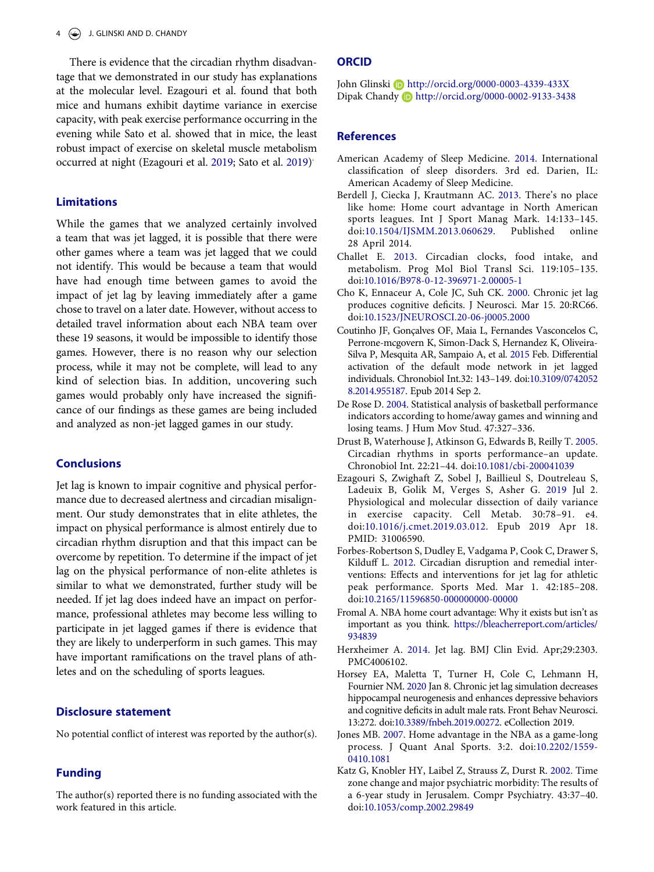There is evidence that the circadian rhythm disadvantage that we demonstrated in our study has explanations at the molecular level. Ezagouri et al. found that both mice and humans exhibit daytime variance in exercise capacity, with peak exercise performance occurring in the evening while Sato et al. showed that in mice, the least robust impact of exercise on skeletal muscle metabolism occurred at night (Ezagouri et al. [2019;](#page-4-13) Sato et al. [2019\)](#page-5-13) .

#### <span id="page-4-14"></span>**Limitations**

While the games that we analyzed certainly involved a team that was jet lagged, it is possible that there were other games where a team was jet lagged that we could not identify. This would be because a team that would have had enough time between games to avoid the impact of jet lag by leaving immediately after a game chose to travel on a later date. However, without access to detailed travel information about each NBA team over these 19 seasons, it would be impossible to identify those games. However, there is no reason why our selection process, while it may not be complete, will lead to any kind of selection bias. In addition, uncovering such games would probably only have increased the significance of our findings as these games are being included and analyzed as non-jet lagged games in our study.

## **Conclusions**

Jet lag is known to impair cognitive and physical performance due to decreased alertness and circadian misalignment. Our study demonstrates that in elite athletes, the impact on physical performance is almost entirely due to circadian rhythm disruption and that this impact can be overcome by repetition. To determine if the impact of jet lag on the physical performance of non-elite athletes is similar to what we demonstrated, further study will be needed. If jet lag does indeed have an impact on performance, professional athletes may become less willing to participate in jet lagged games if there is evidence that they are likely to underperform in such games. This may have important ramifications on the travel plans of athletes and on the scheduling of sports leagues.

#### **Disclosure statement**

No potential conflict of interest was reported by the author(s).

## **Funding**

The author(s) reported there is no funding associated with the work featured in this article.

#### **ORCID**

John Glinski D http://orcid.org/0000-0003-4339-433X Dipak Chandy Dhttp://orcid.org/0000-0002-9133-3438

#### **References**

- <span id="page-4-0"></span>American Academy of Sleep Medicine. [2014.](#page-1-1) International classification of sleep disorders. 3rd ed. Darien, IL: American Academy of Sleep Medicine.
- <span id="page-4-8"></span>Berdell J, Ciecka J, Krautmann AC. [2013](#page-3-0). There's no place like home: Home court advantage in North American sports leagues. Int J Sport Manag Mark. 14:133–145. doi:[10.1504/IJSMM.2013.060629.](https://doi.org/10.1504/IJSMM.2013.060629) Published online 28 April 2014.
- <span id="page-4-1"></span>Challet E. [2013.](#page-1-2) Circadian clocks, food intake, and metabolism. Prog Mol Biol Transl Sci. 119:105–135. doi:[10.1016/B978-0-12-396971-2.00005-1](https://doi.org/10.1016/B978-0-12-396971-2.00005-1)
- <span id="page-4-2"></span>Cho K, Ennaceur A, Cole JC, Suh CK. [2000](#page-1-2). Chronic jet lag produces cognitive deficits. J Neurosci. Mar 15. 20:RC66. doi:[10.1523/JNEUROSCI.20-06-j0005.2000](https://doi.org/10.1523/JNEUROSCI.20-06-j0005.2000)
- <span id="page-4-3"></span>Coutinho JF, Gonçalves OF, Maia L, Fernandes Vasconcelos C, Perrone-mcgovern K, Simon-Dack S, Hernandez K, Oliveira-Silva P, Mesquita AR, Sampaio A, et al. [2015](#page-1-3) Feb. Differential activation of the default mode network in jet lagged individuals. Chronobiol Int.32: 143–149. doi:[10.3109/0742052](https://doi.org/10.3109/07420528.2014.955187)  [8.2014.955187](https://doi.org/10.3109/07420528.2014.955187). Epub 2014 Sep 2.
- <span id="page-4-10"></span>De Rose D. [2004](#page-3-1). Statistical analysis of basketball performance indicators according to home/away games and winning and losing teams. J Hum Mov Stud. 47:327–336.
- <span id="page-4-12"></span>Drust B, Waterhouse J, Atkinson G, Edwards B, Reilly T. [2005.](#page-3-2) Circadian rhythms in sports performance–an update. Chronobiol Int. 22:21–44. doi:[10.1081/cbi-200041039](https://doi.org/10.1081/cbi-200041039)
- <span id="page-4-13"></span>Ezagouri S, Zwighaft Z, Sobel J, Baillieul S, Doutreleau S, Ladeuix B, Golik M, Verges S, Asher G. [2019](#page-4-14) Jul 2. Physiological and molecular dissection of daily variance in exercise capacity. Cell Metab. 30:78–91. e4. doi:[10.1016/j.cmet.2019.03.012](https://doi.org/10.1016/j.cmet.2019.03.012). Epub 2019 Apr 18. PMID: 31006590.
- <span id="page-4-4"></span>Forbes-Robertson S, Dudley E, Vadgama P, Cook C, Drawer S, Kilduff L. [2012.](#page-1-3) Circadian disruption and remedial interventions: Effects and interventions for jet lag for athletic peak performance. Sports Med. Mar 1. 42:185–208. doi:[10.2165/11596850-000000000-00000](https://doi.org/10.2165/11596850-000000000-00000)
- <span id="page-4-11"></span>Fromal A. NBA home court advantage: Why it exists but isn't as important as you think. [https://bleacherreport.com/articles/](https://bleacherreport.com/articles/934839)  [934839](https://bleacherreport.com/articles/934839)
- <span id="page-4-7"></span>Herxheimer A. [2014.](#page-1-4) Jet lag. BMJ Clin Evid. Apr;29:2303. PMC4006102.
- <span id="page-4-5"></span>Horsey EA, Maletta T, Turner H, Cole C, Lehmann H, Fournier NM. [2020](#page-1-5) Jan 8. Chronic jet lag simulation decreases hippocampal neurogenesis and enhances depressive behaviors and cognitive deficits in adult male rats. Front Behav Neurosci. 13:272. doi:[10.3389/fnbeh.2019.00272.](https://doi.org/10.3389/fnbeh.2019.00272) eCollection 2019.
- <span id="page-4-9"></span>Jones MB. [2007](#page-3-0). Home advantage in the NBA as a game-long process. J Quant Anal Sports. 3:2. doi:[10.2202/1559-](https://doi.org/10.2202/1559-0410.1081) [0410.1081](https://doi.org/10.2202/1559-0410.1081)
- <span id="page-4-6"></span>Katz G, Knobler HY, Laibel Z, Strauss Z, Durst R. [2002](#page-1-5). Time zone change and major psychiatric morbidity: The results of a 6-year study in Jerusalem. Compr Psychiatry. 43:37–40. doi:[10.1053/comp.2002.29849](https://doi.org/10.1053/comp.2002.29849)